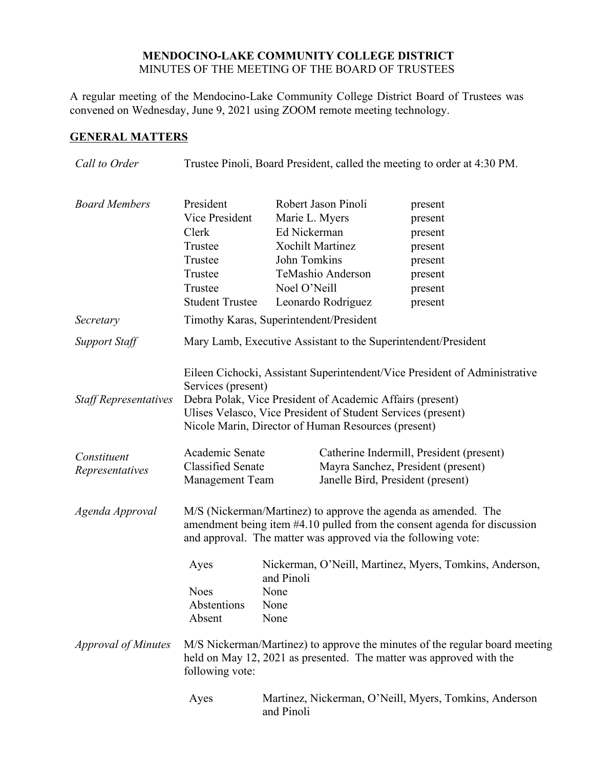#### **MENDOCINO-LAKE COMMUNITY COLLEGE DISTRICT** MINUTES OF THE MEETING OF THE BOARD OF TRUSTEES

A regular meeting of the Mendocino-Lake Community College District Board of Trustees was convened on Wednesday, June 9, 2021 using ZOOM remote meeting technology.

# **GENERAL MATTERS**

| Call to Order                  | Trustee Pinoli, Board President, called the meeting to order at 4:30 PM.                                                                                                                                    |                                                                |                                                                                                                     |                                                                                                                                            |
|--------------------------------|-------------------------------------------------------------------------------------------------------------------------------------------------------------------------------------------------------------|----------------------------------------------------------------|---------------------------------------------------------------------------------------------------------------------|--------------------------------------------------------------------------------------------------------------------------------------------|
| <b>Board Members</b>           | President<br>Vice President<br>Clerk<br>Trustee<br>Trustee<br>Trustee<br>Trustee<br><b>Student Trustee</b>                                                                                                  | Marie L. Myers<br>Ed Nickerman<br>John Tomkins<br>Noel O'Neill | Robert Jason Pinoli<br><b>Xochilt Martinez</b><br>TeMashio Anderson<br>Leonardo Rodriguez                           | present<br>present<br>present<br>present<br>present<br>present<br>present<br>present                                                       |
| Secretary                      | Timothy Karas, Superintendent/President                                                                                                                                                                     |                                                                |                                                                                                                     |                                                                                                                                            |
| <b>Support Staff</b>           | Mary Lamb, Executive Assistant to the Superintendent/President                                                                                                                                              |                                                                |                                                                                                                     |                                                                                                                                            |
| <b>Staff Representatives</b>   | Services (present)<br>Debra Polak, Vice President of Academic Affairs (present)<br>Nicole Marin, Director of Human Resources (present)                                                                      |                                                                |                                                                                                                     | Eileen Cichocki, Assistant Superintendent/Vice President of Administrative<br>Ulises Velasco, Vice President of Student Services (present) |
| Constituent<br>Representatives | Academic Senate<br><b>Classified Senate</b><br><b>Management Team</b>                                                                                                                                       |                                                                | Catherine Indermill, President (present)<br>Mayra Sanchez, President (present)<br>Janelle Bird, President (present) |                                                                                                                                            |
| Agenda Approval                | M/S (Nickerman/Martinez) to approve the agenda as amended. The<br>amendment being item #4.10 pulled from the consent agenda for discussion<br>and approval. The matter was approved via the following vote: |                                                                |                                                                                                                     |                                                                                                                                            |
|                                | Ayes<br><b>Noes</b><br>Abstentions<br>Absent                                                                                                                                                                | and Pinoli<br>None<br>None<br>None                             |                                                                                                                     | Nickerman, O'Neill, Martinez, Myers, Tomkins, Anderson,                                                                                    |
| <b>Approval of Minutes</b>     | M/S Nickerman/Martinez) to approve the minutes of the regular board meeting<br>held on May 12, 2021 as presented. The matter was approved with the<br>following vote:                                       |                                                                |                                                                                                                     |                                                                                                                                            |
|                                | Ayes                                                                                                                                                                                                        | and Pinoli                                                     |                                                                                                                     | Martinez, Nickerman, O'Neill, Myers, Tomkins, Anderson                                                                                     |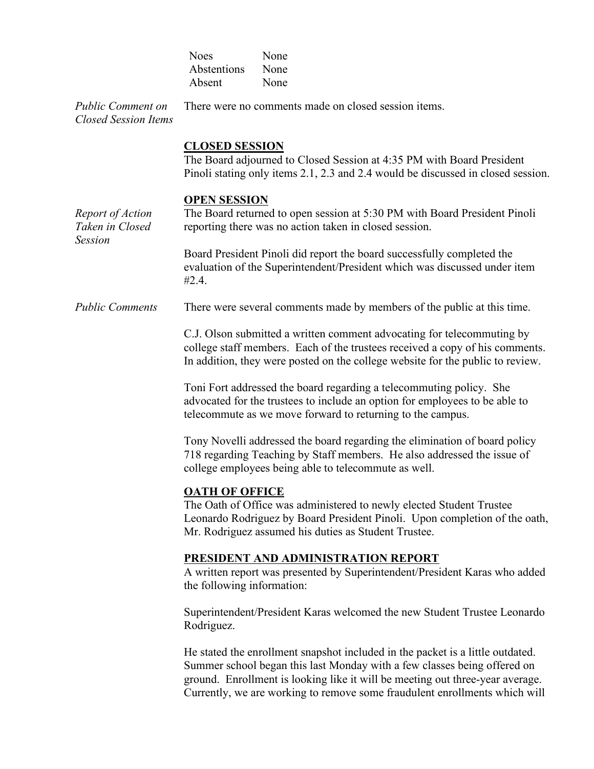|                                                         | <b>Noes</b><br>Abstentions                                                                                                                                                                                                               | None<br>None                                                                                                                                                                                                                                |  |
|---------------------------------------------------------|------------------------------------------------------------------------------------------------------------------------------------------------------------------------------------------------------------------------------------------|---------------------------------------------------------------------------------------------------------------------------------------------------------------------------------------------------------------------------------------------|--|
| <b>Public Comment on</b><br><b>Closed Session Items</b> | Absent<br>None<br>There were no comments made on closed session items.                                                                                                                                                                   |                                                                                                                                                                                                                                             |  |
|                                                         | <b>CLOSED SESSION</b><br>The Board adjourned to Closed Session at 4:35 PM with Board President<br>Pinoli stating only items 2.1, 2.3 and 2.4 would be discussed in closed session.                                                       |                                                                                                                                                                                                                                             |  |
| Report of Action<br>Taken in Closed<br><b>Session</b>   | <b>OPEN SESSION</b><br>The Board returned to open session at 5:30 PM with Board President Pinoli<br>reporting there was no action taken in closed session.                                                                               |                                                                                                                                                                                                                                             |  |
|                                                         | Board President Pinoli did report the board successfully completed the<br>evaluation of the Superintendent/President which was discussed under item<br>#2.4.                                                                             |                                                                                                                                                                                                                                             |  |
| <b>Public Comments</b>                                  |                                                                                                                                                                                                                                          | There were several comments made by members of the public at this time.                                                                                                                                                                     |  |
|                                                         | C.J. Olson submitted a written comment advocating for telecommuting by<br>college staff members. Each of the trustees received a copy of his comments.<br>In addition, they were posted on the college website for the public to review. |                                                                                                                                                                                                                                             |  |
|                                                         | Toni Fort addressed the board regarding a telecommuting policy. She<br>advocated for the trustees to include an option for employees to be able to<br>telecommute as we move forward to returning to the campus.                         |                                                                                                                                                                                                                                             |  |
|                                                         | Tony Novelli addressed the board regarding the elimination of board policy<br>718 regarding Teaching by Staff members. He also addressed the issue of<br>college employees being able to telecommute as well.                            |                                                                                                                                                                                                                                             |  |
|                                                         | <b>OATH OF OFFICE</b>                                                                                                                                                                                                                    | The Oath of Office was administered to newly elected Student Trustee<br>Leonardo Rodriguez by Board President Pinoli. Upon completion of the oath,<br>Mr. Rodriguez assumed his duties as Student Trustee.                                  |  |
|                                                         | <b>PRESIDENT AND ADMINISTRATION REPORT</b><br>A written report was presented by Superintendent/President Karas who added<br>the following information:                                                                                   |                                                                                                                                                                                                                                             |  |
|                                                         | Superintendent/President Karas welcomed the new Student Trustee Leonardo<br>Rodriguez.                                                                                                                                                   |                                                                                                                                                                                                                                             |  |
|                                                         |                                                                                                                                                                                                                                          | He stated the enrollment snapshot included in the packet is a little outdated.<br>Summer school began this last Monday with a few classes being offered on<br>ground. Enrollment is looking like it will be meeting out three-year average. |  |

Currently, we are working to remove some fraudulent enrollments which will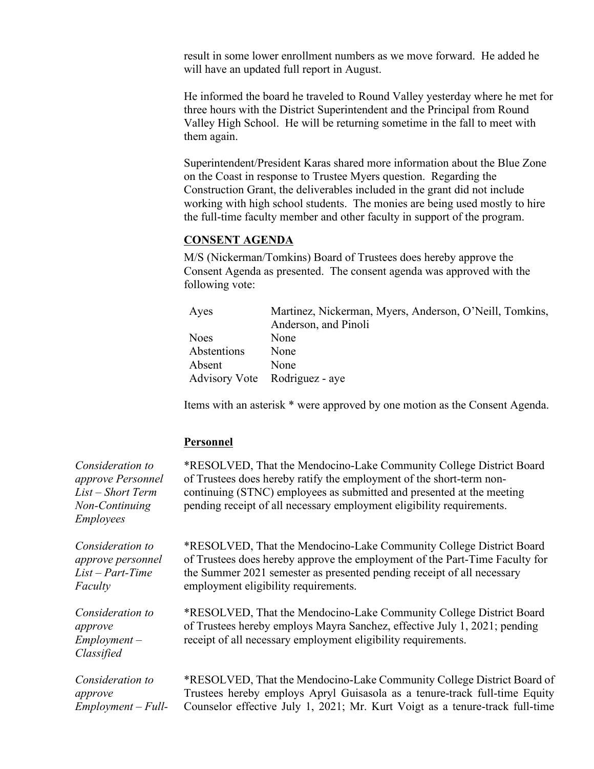result in some lower enrollment numbers as we move forward. He added he will have an updated full report in August.

He informed the board he traveled to Round Valley yesterday where he met for three hours with the District Superintendent and the Principal from Round Valley High School. He will be returning sometime in the fall to meet with them again.

Superintendent/President Karas shared more information about the Blue Zone on the Coast in response to Trustee Myers question. Regarding the Construction Grant, the deliverables included in the grant did not include working with high school students. The monies are being used mostly to hire the full-time faculty member and other faculty in support of the program.

#### **CONSENT AGENDA**

M/S (Nickerman/Tomkins) Board of Trustees does hereby approve the Consent Agenda as presented. The consent agenda was approved with the following vote:

| Ayes                          | Martinez, Nickerman, Myers, Anderson, O'Neill, Tomkins,<br>Anderson, and Pinoli |
|-------------------------------|---------------------------------------------------------------------------------|
|                               |                                                                                 |
| <b>Noes</b>                   | None                                                                            |
| Abstentions                   | None                                                                            |
| Absent                        | None                                                                            |
| Advisory Vote Rodriguez - aye |                                                                                 |

Items with an asterisk \* were approved by one motion as the Consent Agenda.

#### **Personnel**

*Consideration to approve Personnel List – Short Term Non-Continuing Employees* \*RESOLVED, That the Mendocino-Lake Community College District Board of Trustees does hereby ratify the employment of the short-term noncontinuing (STNC) employees as submitted and presented at the meeting pending receipt of all necessary employment eligibility requirements. *Consideration to approve personnel List – Part-Time Faculty* \*RESOLVED, That the Mendocino-Lake Community College District Board of Trustees does hereby approve the employment of the Part-Time Faculty for the Summer 2021 semester as presented pending receipt of all necessary employment eligibility requirements. *Consideration to approve Employment – Classified* \*RESOLVED, That the Mendocino-Lake Community College District Board of Trustees hereby employs Mayra Sanchez, effective July 1, 2021; pending receipt of all necessary employment eligibility requirements. *Consideration to approve Employment – Full-* \*RESOLVED, That the Mendocino-Lake Community College District Board of Trustees hereby employs Apryl Guisasola as a tenure-track full-time Equity Counselor effective July 1, 2021; Mr. Kurt Voigt as a tenure-track full-time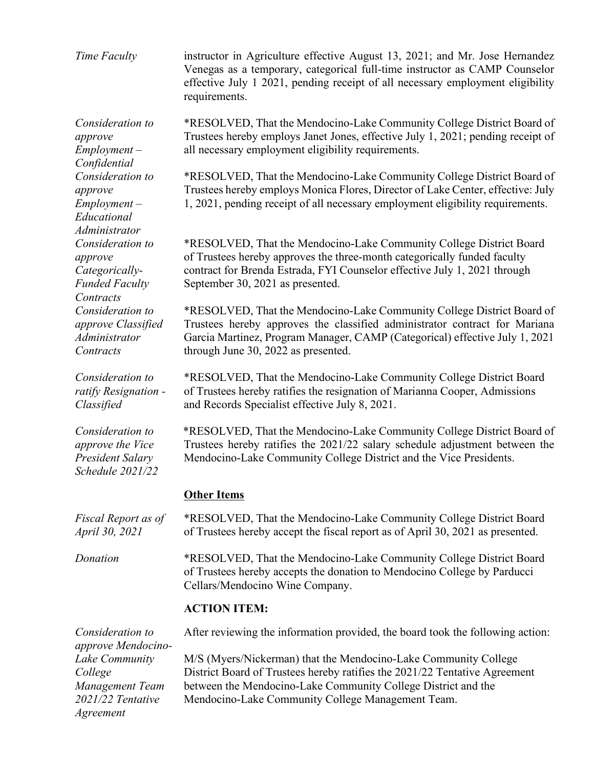*Time Faculty* instructor in Agriculture effective August 13, 2021; and Mr. Jose Hernandez Venegas as a temporary, categorical full-time instructor as CAMP Counselor effective July 1 2021, pending receipt of all necessary employment eligibility requirements.

> \*RESOLVED, That the Mendocino-Lake Community College District Board of Trustees hereby employs Janet Jones, effective July 1, 2021; pending receipt of all necessary employment eligibility requirements.

\*RESOLVED, That the Mendocino-Lake Community College District Board of Trustees hereby employs Monica Flores, Director of Lake Center, effective: July 1, 2021, pending receipt of all necessary employment eligibility requirements.

\*RESOLVED, That the Mendocino-Lake Community College District Board of Trustees hereby approves the three-month categorically funded faculty contract for Brenda Estrada, FYI Counselor effective July 1, 2021 through September 30, 2021 as presented.

\*RESOLVED, That the Mendocino-Lake Community College District Board of Trustees hereby approves the classified administrator contract for Mariana Garcia Martinez, Program Manager, CAMP (Categorical) effective July 1, 2021 through June 30, 2022 as presented.

\*RESOLVED, That the Mendocino-Lake Community College District Board of Trustees hereby ratifies the resignation of Marianna Cooper, Admissions and Records Specialist effective July 8, 2021.

\*RESOLVED, That the Mendocino-Lake Community College District Board of Trustees hereby ratifies the 2021/22 salary schedule adjustment between the Mendocino-Lake Community College District and the Vice Presidents.

## **Other Items**

\*RESOLVED, That the Mendocino-Lake Community College District Board of Trustees hereby accept the fiscal report as of April 30, 2021 as presented.

*Donation* \*RESOLVED, That the Mendocino-Lake Community College District Board of Trustees hereby accepts the donation to Mendocino College by Parducci Cellars/Mendocino Wine Company.

#### **ACTION ITEM:**

After reviewing the information provided, the board took the following action:

M/S (Myers/Nickerman) that the Mendocino-Lake Community College District Board of Trustees hereby ratifies the 2021/22 Tentative Agreement between the Mendocino-Lake Community College District and the Mendocino-Lake Community College Management Team.

*Consideration to approve Employment – Confidential Consideration to approve Employment – Educational Administrator Consideration to approve Categorically-Funded Faculty Contracts Consideration to approve Classified Administrator Contracts*

*Consideration to ratify Resignation - Classified*

*Consideration to approve the Vice President Salary Schedule 2021/22*

*Fiscal Report as of April 30, 2021*

*Consideration to approve Mendocino-Lake Community College Management Team 2021/22 Tentative Agreement*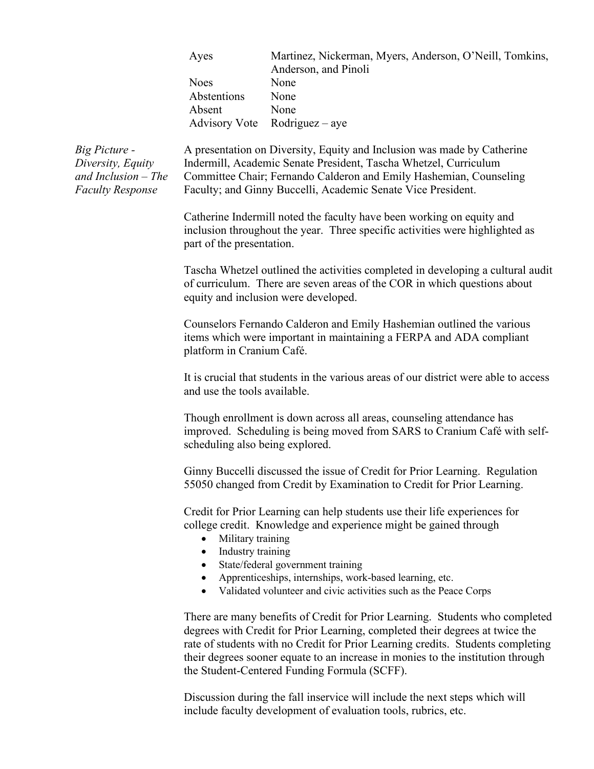| Ayes        | Martinez, Nickerman, Myers, Anderson, O'Neill, Tomkins, |
|-------------|---------------------------------------------------------|
|             | Anderson, and Pinoli                                    |
| Noes        | None                                                    |
| Abstentions | None                                                    |
| Absent      | None                                                    |
|             | Advisory Vote Rodriguez – aye                           |
|             |                                                         |

*Big Picture - Diversity, Equity and Inclusion – The Faculty Response*

A presentation on Diversity, Equity and Inclusion was made by Catherine Indermill, Academic Senate President, Tascha Whetzel, Curriculum Committee Chair; Fernando Calderon and Emily Hashemian, Counseling Faculty; and Ginny Buccelli, Academic Senate Vice President.

Catherine Indermill noted the faculty have been working on equity and inclusion throughout the year. Three specific activities were highlighted as part of the presentation.

Tascha Whetzel outlined the activities completed in developing a cultural audit of curriculum. There are seven areas of the COR in which questions about equity and inclusion were developed.

Counselors Fernando Calderon and Emily Hashemian outlined the various items which were important in maintaining a FERPA and ADA compliant platform in Cranium Café.

It is crucial that students in the various areas of our district were able to access and use the tools available.

Though enrollment is down across all areas, counseling attendance has improved. Scheduling is being moved from SARS to Cranium Café with selfscheduling also being explored.

Ginny Buccelli discussed the issue of Credit for Prior Learning. Regulation 55050 changed from Credit by Examination to Credit for Prior Learning.

Credit for Prior Learning can help students use their life experiences for college credit. Knowledge and experience might be gained through

- Military training
- Industry training
- State/federal government training
- Apprenticeships, internships, work-based learning, etc.
- Validated volunteer and civic activities such as the Peace Corps

There are many benefits of Credit for Prior Learning. Students who completed degrees with Credit for Prior Learning, completed their degrees at twice the rate of students with no Credit for Prior Learning credits. Students completing their degrees sooner equate to an increase in monies to the institution through the Student-Centered Funding Formula (SCFF).

Discussion during the fall inservice will include the next steps which will include faculty development of evaluation tools, rubrics, etc.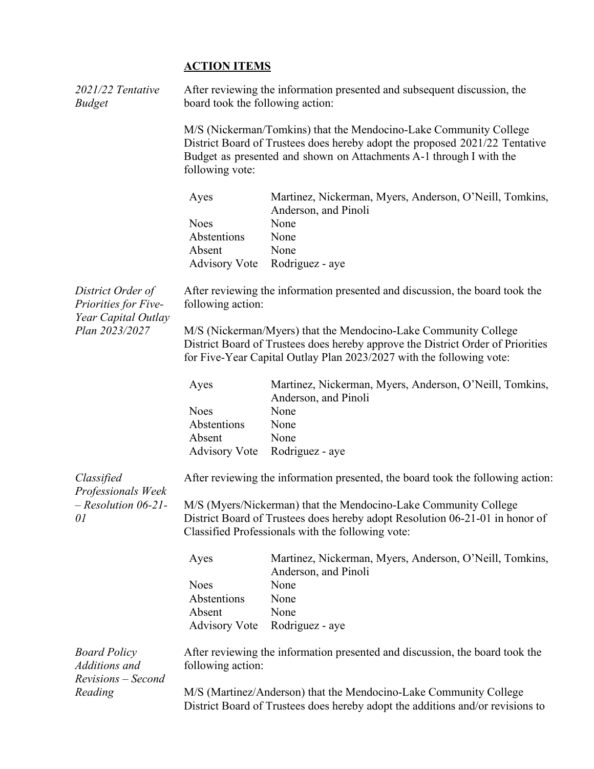# **ACTION ITEMS**

| $2021/22$ Tentative<br><b>Budget</b>                                               | After reviewing the information presented and subsequent discussion, the<br>board took the following action: |                                                                                                                                                                                                                            |  |
|------------------------------------------------------------------------------------|--------------------------------------------------------------------------------------------------------------|----------------------------------------------------------------------------------------------------------------------------------------------------------------------------------------------------------------------------|--|
|                                                                                    | following vote:                                                                                              | M/S (Nickerman/Tomkins) that the Mendocino-Lake Community College<br>District Board of Trustees does hereby adopt the proposed 2021/22 Tentative<br>Budget as presented and shown on Attachments A-1 through I with the    |  |
|                                                                                    | Ayes                                                                                                         | Martinez, Nickerman, Myers, Anderson, O'Neill, Tomkins,<br>Anderson, and Pinoli                                                                                                                                            |  |
|                                                                                    | <b>Noes</b>                                                                                                  | None                                                                                                                                                                                                                       |  |
|                                                                                    | Abstentions                                                                                                  | None                                                                                                                                                                                                                       |  |
|                                                                                    | Absent                                                                                                       | None                                                                                                                                                                                                                       |  |
|                                                                                    | <b>Advisory Vote</b>                                                                                         | Rodriguez - aye                                                                                                                                                                                                            |  |
| District Order of<br>Priorities for Five-<br>Year Capital Outlay<br>Plan 2023/2027 | After reviewing the information presented and discussion, the board took the<br>following action:            |                                                                                                                                                                                                                            |  |
|                                                                                    |                                                                                                              | M/S (Nickerman/Myers) that the Mendocino-Lake Community College<br>District Board of Trustees does hereby approve the District Order of Priorities<br>for Five-Year Capital Outlay Plan 2023/2027 with the following vote: |  |
|                                                                                    | Ayes                                                                                                         | Martinez, Nickerman, Myers, Anderson, O'Neill, Tomkins,<br>Anderson, and Pinoli                                                                                                                                            |  |
|                                                                                    | <b>Noes</b>                                                                                                  | None                                                                                                                                                                                                                       |  |
|                                                                                    | Abstentions                                                                                                  | None                                                                                                                                                                                                                       |  |
|                                                                                    | Absent                                                                                                       | None                                                                                                                                                                                                                       |  |
|                                                                                    | <b>Advisory Vote</b>                                                                                         | Rodriguez - aye                                                                                                                                                                                                            |  |
| Classified<br>Professionals Week<br>$-$ Resolution 06-21-<br>01                    |                                                                                                              | After reviewing the information presented, the board took the following action:                                                                                                                                            |  |
|                                                                                    |                                                                                                              | M/S (Myers/Nickerman) that the Mendocino-Lake Community College<br>District Board of Trustees does hereby adopt Resolution 06-21-01 in honor of<br>Classified Professionals with the following vote:                       |  |
|                                                                                    | Ayes                                                                                                         | Martinez, Nickerman, Myers, Anderson, O'Neill, Tomkins,<br>Anderson, and Pinoli                                                                                                                                            |  |
|                                                                                    | <b>Noes</b>                                                                                                  | None                                                                                                                                                                                                                       |  |
|                                                                                    | Abstentions                                                                                                  | None                                                                                                                                                                                                                       |  |
|                                                                                    | Absent                                                                                                       | None                                                                                                                                                                                                                       |  |
|                                                                                    | <b>Advisory Vote</b>                                                                                         | Rodriguez - aye                                                                                                                                                                                                            |  |
| <b>Board Policy</b><br>Additions and<br>Revisions - Second                         | following action:                                                                                            | After reviewing the information presented and discussion, the board took the                                                                                                                                               |  |
| Reading                                                                            |                                                                                                              | M/S (Martinez/Anderson) that the Mendocino-Lake Community College<br>District Board of Trustees does hereby adopt the additions and/or revisions to                                                                        |  |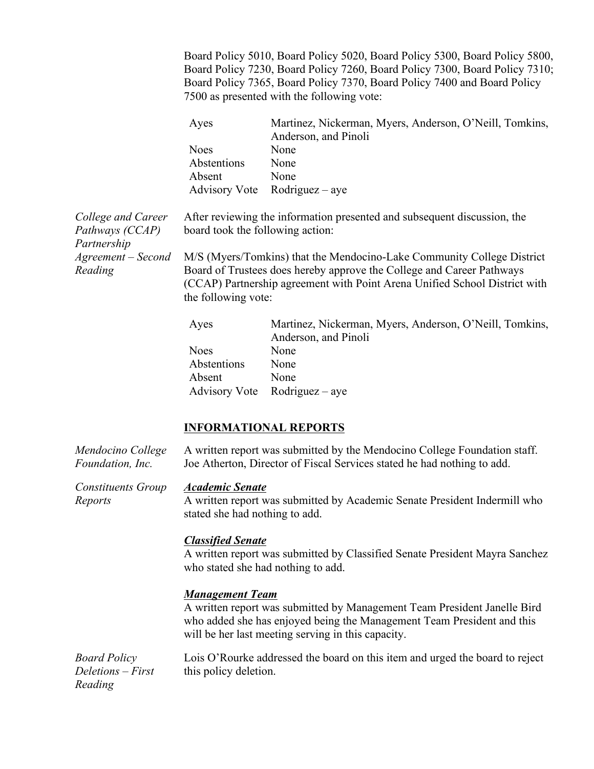Board Policy 5010, Board Policy 5020, Board Policy 5300, Board Policy 5800, Board Policy 7230, Board Policy 7260, Board Policy 7300, Board Policy 7310; Board Policy 7365, Board Policy 7370, Board Policy 7400 and Board Policy 7500 as presented with the following vote:

|                                                      | Ayes                                                                       | Martinez, Nickerman, Myers, Anderson, O'Neill, Tomkins,<br>Anderson, and Pinoli                                                     |  |
|------------------------------------------------------|----------------------------------------------------------------------------|-------------------------------------------------------------------------------------------------------------------------------------|--|
|                                                      | <b>Noes</b>                                                                | None                                                                                                                                |  |
|                                                      | Abstentions                                                                | None                                                                                                                                |  |
|                                                      | Absent                                                                     | None                                                                                                                                |  |
|                                                      | <b>Advisory Vote</b>                                                       | $Rodriguez - aye$                                                                                                                   |  |
| College and Career<br>Pathways (CCAP)<br>Partnership | board took the following action:                                           | After reviewing the information presented and subsequent discussion, the                                                            |  |
| Agreement – Second                                   | M/S (Myers/Tomkins) that the Mendocino-Lake Community College District     |                                                                                                                                     |  |
| Reading                                              | Board of Trustees does hereby approve the College and Career Pathways      |                                                                                                                                     |  |
|                                                      | (CCAP) Partnership agreement with Point Arena Unified School District with |                                                                                                                                     |  |
|                                                      | the following vote:                                                        |                                                                                                                                     |  |
|                                                      |                                                                            | $M_{\text{out}}$ $\sim N_{\text{in}}$ $\sim N_{\text{in}}$ $M_{\text{max}}$ $\sim$ $\sim$ $\sim N_{\text{in}}$ $\sim$ $\sim$ $\sim$ |  |

| Ayes        | Martinez, Nickerman, Myers, Anderson, O'Neill, Tomkins, |
|-------------|---------------------------------------------------------|
|             | Anderson, and Pinoli                                    |
| Noes        | None                                                    |
| Abstentions | None                                                    |
| Absent      | <b>None</b>                                             |
|             | Advisory Vote Rodriguez – aye                           |

## **INFORMATIONAL REPORTS**

| Mendocino College<br>Foundation, Inc.               | A written report was submitted by the Mendocino College Foundation staff.<br>Joe Atherton, Director of Fiscal Services stated he had nothing to add.                                                                               |
|-----------------------------------------------------|------------------------------------------------------------------------------------------------------------------------------------------------------------------------------------------------------------------------------------|
| <b>Constituents Group</b><br>Reports                | <b>Academic Senate</b><br>A written report was submitted by Academic Senate President Indermill who<br>stated she had nothing to add.                                                                                              |
|                                                     | <b>Classified Senate</b><br>A written report was submitted by Classified Senate President Mayra Sanchez<br>who stated she had nothing to add.                                                                                      |
|                                                     | <b>Management Team</b><br>A written report was submitted by Management Team President Janelle Bird<br>who added she has enjoyed being the Management Team President and this<br>will be her last meeting serving in this capacity. |
| <b>Board Policy</b><br>Deletions – First<br>Reading | Lois O'Rourke addressed the board on this item and urged the board to reject<br>this policy deletion.                                                                                                                              |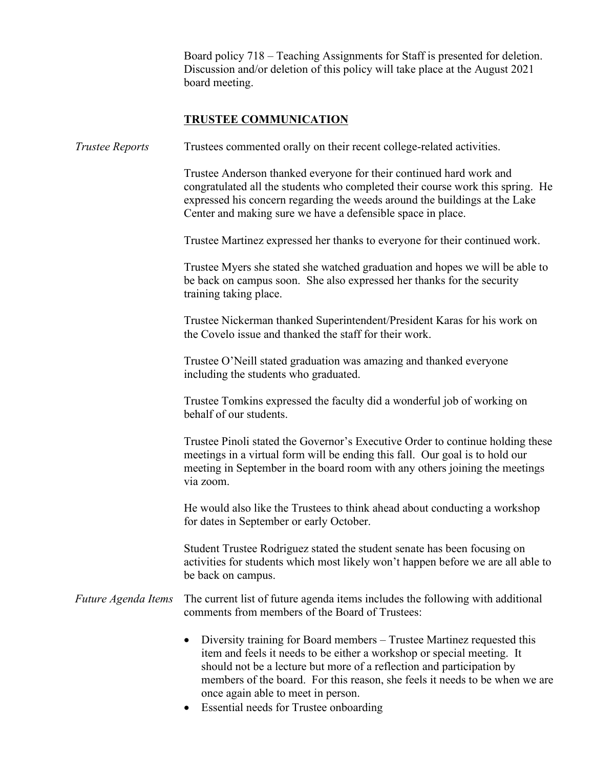Board policy 718 – Teaching Assignments for Staff is presented for deletion. Discussion and/or deletion of this policy will take place at the August 2021 board meeting.

### **TRUSTEE COMMUNICATION**

*Trustee Reports* Trustees commented orally on their recent college-related activities.

Trustee Anderson thanked everyone for their continued hard work and congratulated all the students who completed their course work this spring. He expressed his concern regarding the weeds around the buildings at the Lake Center and making sure we have a defensible space in place.

Trustee Martinez expressed her thanks to everyone for their continued work.

Trustee Myers she stated she watched graduation and hopes we will be able to be back on campus soon. She also expressed her thanks for the security training taking place.

Trustee Nickerman thanked Superintendent/President Karas for his work on the Covelo issue and thanked the staff for their work.

Trustee O'Neill stated graduation was amazing and thanked everyone including the students who graduated.

Trustee Tomkins expressed the faculty did a wonderful job of working on behalf of our students.

Trustee Pinoli stated the Governor's Executive Order to continue holding these meetings in a virtual form will be ending this fall. Our goal is to hold our meeting in September in the board room with any others joining the meetings via zoom.

He would also like the Trustees to think ahead about conducting a workshop for dates in September or early October.

Student Trustee Rodriguez stated the student senate has been focusing on activities for students which most likely won't happen before we are all able to be back on campus.

*Future Agenda Items* The current list of future agenda items includes the following with additional comments from members of the Board of Trustees:

- Diversity training for Board members Trustee Martinez requested this item and feels it needs to be either a workshop or special meeting. It should not be a lecture but more of a reflection and participation by members of the board. For this reason, she feels it needs to be when we are once again able to meet in person.
- Essential needs for Trustee onboarding